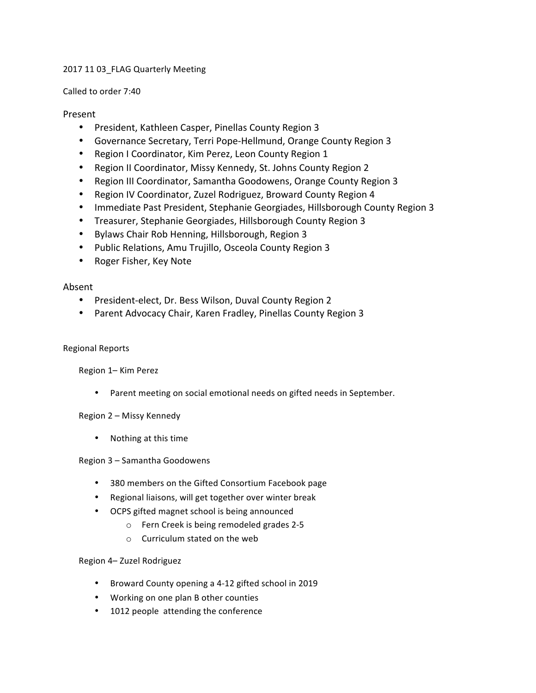## 2017 11 03\_FLAG Quarterly Meeting

### Called to order 7:40

## Present

- President, Kathleen Casper, Pinellas County Region 3
- Governance Secretary, Terri Pope-Hellmund, Orange County Region 3
- Region I Coordinator, Kim Perez, Leon County Region 1
- Region II Coordinator, Missy Kennedy, St. Johns County Region 2
- Region III Coordinator, Samantha Goodowens, Orange County Region 3
- Region IV Coordinator, Zuzel Rodriguez, Broward County Region 4
- Immediate Past President, Stephanie Georgiades, Hillsborough County Region 3
- Treasurer, Stephanie Georgiades, Hillsborough County Region 3
- Bylaws Chair Rob Henning, Hillsborough, Region 3
- Public Relations, Amu Trujillo, Osceola County Region 3
- Roger Fisher, Key Note

# Absent

- President-elect, Dr. Bess Wilson, Duval County Region 2
- Parent Advocacy Chair, Karen Fradley, Pinellas County Region 3

### Regional Reports

Region 1– Kim Perez

• Parent meeting on social emotional needs on gifted needs in September.

# Region 2 - Missy Kennedy

• Nothing at this time

### Region 3 - Samantha Goodowens

- 380 members on the Gifted Consortium Facebook page
- Regional liaisons, will get together over winter break
- OCPS gifted magnet school is being announced
	- o Fern Creek is being remodeled grades 2-5
	- $\circ$  Curriculum stated on the web

# Region 4- Zuzel Rodriguez

- Broward County opening a 4-12 gifted school in 2019
- Working on one plan B other counties
- 1012 people attending the conference